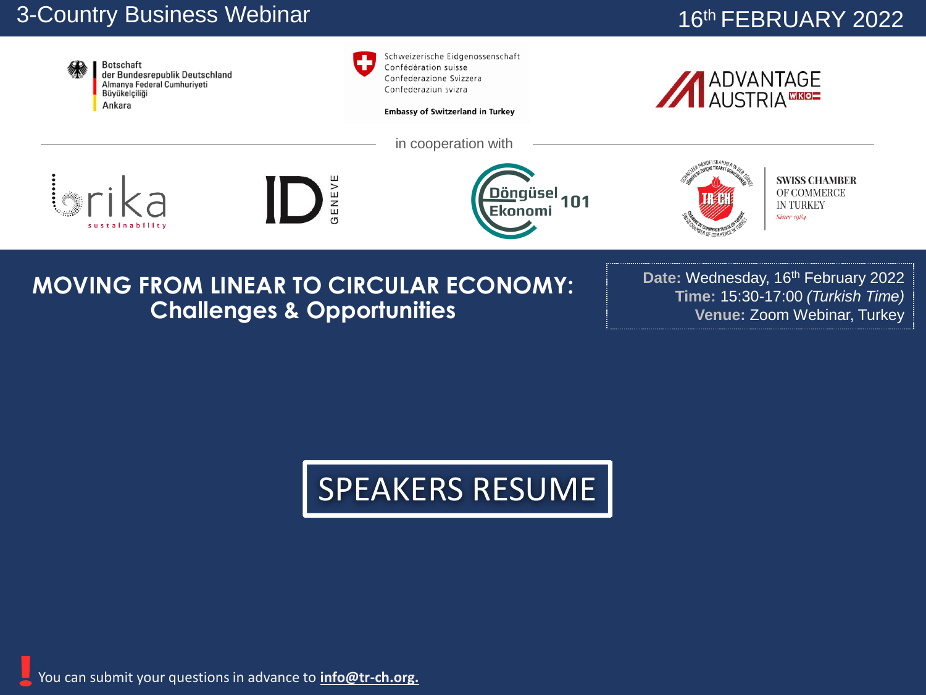## 3-Country Business Webinar

## 16th FEBRUARY 2022



## **MOVING FROM LINEAR TO CIRCULAR ECONOMY: Challenges & Opportunities**

Date: Wednesday, 16<sup>th</sup> February 2022 **Time:** 15:30-17:00 *(Turkish Time)* **Venue:** Zoom Webinar, Turkey

## SPEAKERS RESUME

You can submit your questions in advance to **info@tr-ch.org.**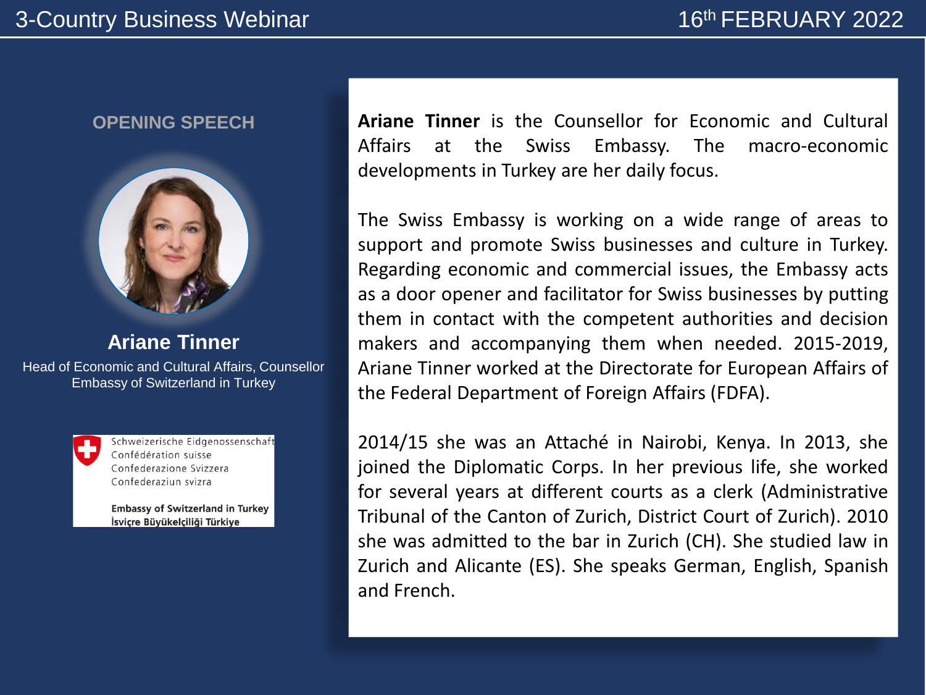

**Ariane Tinner**

Head of Economic and Cultural Affairs, Counsellor Embassy of Switzerland in Turkey



Schweizerische Eidgenossenschaft Confédération suisse Confederazione Svizzera Confederaziun svizra

**Embassy of Switzerland in Turkey** İsviçre Büyükelçiliği Türkiye

**OPENING SPEECH Ariane Tinner** is the Counsellor for Economic and Cultural Affairs at the Swiss Embassy. The macro-economic developments in Turkey are her daily focus.

> The Swiss Embassy is working on a wide range of areas to support and promote Swiss businesses and culture in Turkey. Regarding economic and commercial issues, the Embassy acts as a door opener and facilitator for Swiss businesses by putting them in contact with the competent authorities and decision makers and accompanying them when needed. 2015-2019, Ariane Tinner worked at the Directorate for European Affairs of the Federal Department of Foreign Affairs (FDFA).

> 2014/15 she was an Attaché in Nairobi, Kenya. In 2013, she joined the Diplomatic Corps. In her previous life, she worked for several years at different courts as a clerk (Administrative Tribunal of the Canton of Zurich, District Court of Zurich). 2010 she was admitted to the bar in Zurich (CH). She studied law in Zurich and Alicante (ES). She speaks German, English, Spanish and French.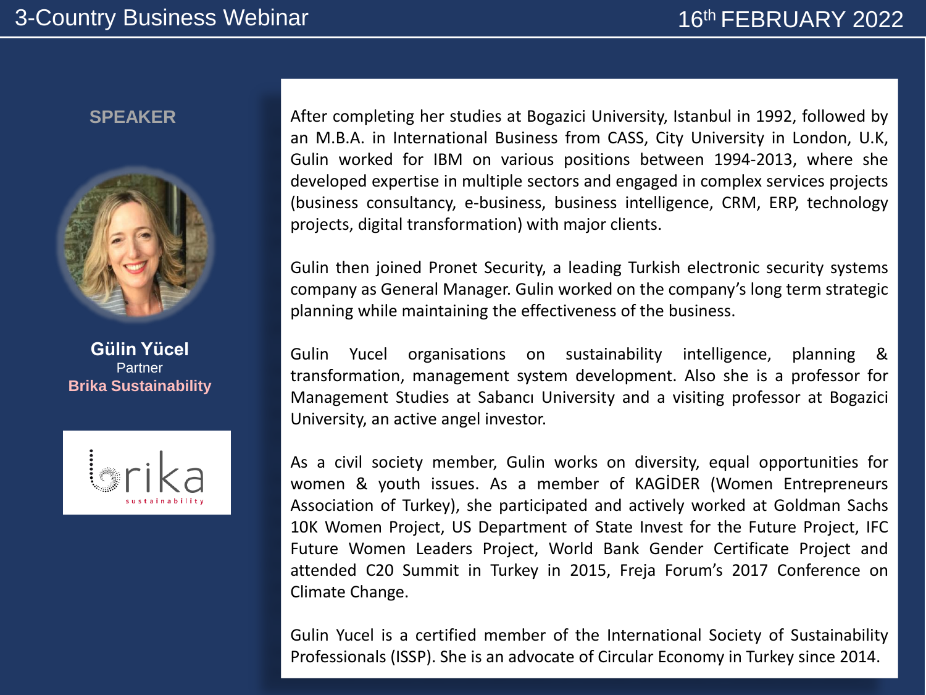

**Gülin Yücel Partner Brika Sustainability**



**SPEAKER** After completing her studies at Bogazici University, Istanbul in 1992, followed by an M.B.A. in International Business from CASS, City University in London, U.K, Gulin worked for IBM on various positions between 1994-2013, where she developed expertise in multiple sectors and engaged in complex services projects (business consultancy, e-business, business intelligence, CRM, ERP, technology projects, digital transformation) with major clients.

> Gulin then joined Pronet Security, a leading Turkish electronic security systems company as General Manager. Gulin worked on the company's long term strategic planning while maintaining the effectiveness of the business.

> Gulin Yucel organisations on sustainability intelligence, planning & transformation, management system development. Also she is a professor for Management Studies at Sabancı University and a visiting professor at Bogazici University, an active angel investor.

> As a civil society member, Gulin works on diversity, equal opportunities for women & youth issues. As a member of KAGİDER (Women Entrepreneurs Association of Turkey), she participated and actively worked at Goldman Sachs 10K Women Project, US Department of State Invest for the Future Project, IFC Future Women Leaders Project, World Bank Gender Certificate Project and attended C20 Summit in Turkey in 2015, Freja Forum's 2017 Conference on Climate Change.

> Gulin Yucel is a certified member of the International Society of Sustainability Professionals (ISSP). She is an advocate of Circular Economy in Turkey since 2014.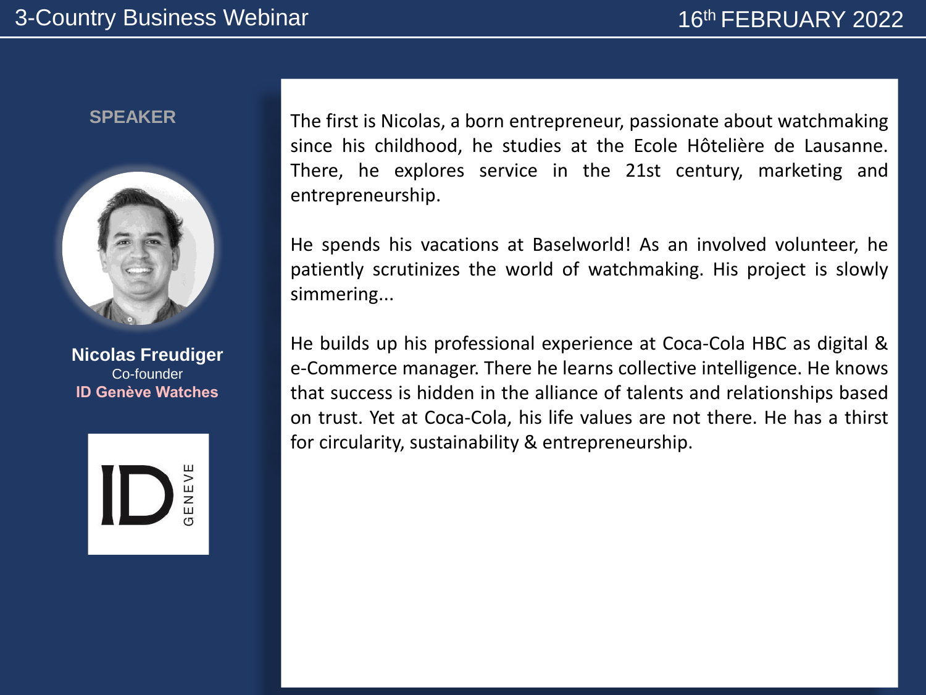

**Nicolas Freudiger** Co-founder **ID Genève Watches**



**SPEAKER** The first is Nicolas, a born entrepreneur, passionate about watchmaking since his childhood, he studies at the Ecole Hôtelière de Lausanne. There, he explores service in the 21st century, marketing and entrepreneurship.

> He spends his vacations at Baselworld! As an involved volunteer, he patiently scrutinizes the world of watchmaking. His project is slowly simmering...

> He builds up his professional experience at Coca-Cola HBC as digital & e-Commerce manager. There he learns collective intelligence. He knows that success is hidden in the alliance of talents and relationships based on trust. Yet at Coca-Cola, his life values are not there. He has a thirst for circularity, sustainability & entrepreneurship.